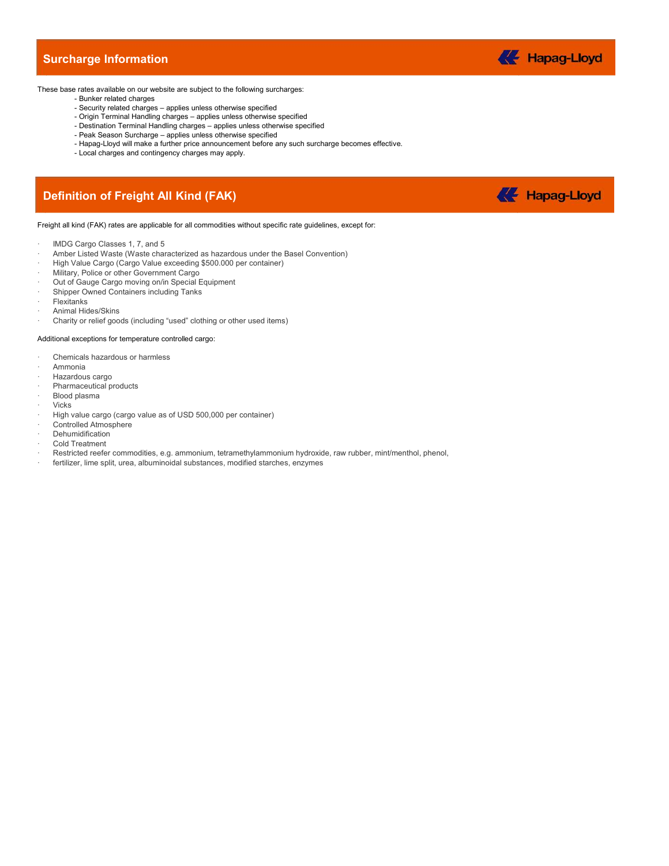### Surcharge Information



These base rates available on our website are subject to the following surcharges:

- Bunker related charges
	- Security related charges applies unless otherwise specified
	- Origin Terminal Handling charges applies unless otherwise specified
	- Destination Terminal Handling charges applies unless otherwise specified
	- Peak Season Surcharge applies unless otherwise specified
	- Hapag-Lloyd will make a further price announcement before any such surcharge becomes effective.
	- Local charges and contingency charges may apply.

# **Surcharge Information**<br>
hese base rates available on our website are subject to the following surcharges:<br>
- Burnker related charges – applies unless otherwise specified<br>
- Origin Terminal Handling charges – applies unles



Freight all kind (FAK) rates are applicable for all commodities without specific rate guidelines, except for:

- IMDG Cargo Classes 1, 7, and 5
- Amber Listed Waste (Waste characterized as hazardous under the Basel Convention)
- · High Value Cargo (Cargo Value exceeding \$500.000 per container)
- Military, Police or other Government Cargo
- Out of Gauge Cargo moving on/in Special Equipment
- Shipper Owned Containers including Tanks
- **Flexitanks**
- Animal Hides/Skins
- · Charity or relief goods (including "used" clothing or other used items)

### Additional exceptions for temperature controlled cargo:

- Chemicals hazardous or harmless
- · Ammonia
- Hazardous cargo
- Pharmaceutical products
- · Blood plasma
- · Vicks
- High value cargo (cargo value as of USD 500,000 per container)
- Controlled Atmosphere
- **Dehumidification**
- · Cold Treatment
- Restricted reefer commodities, e.g. ammonium, tetramethylammonium hydroxide, raw rubber, mint/menthol, phenol,
- · fertilizer, lime split, urea, albuminoidal substances, modified starches, enzymes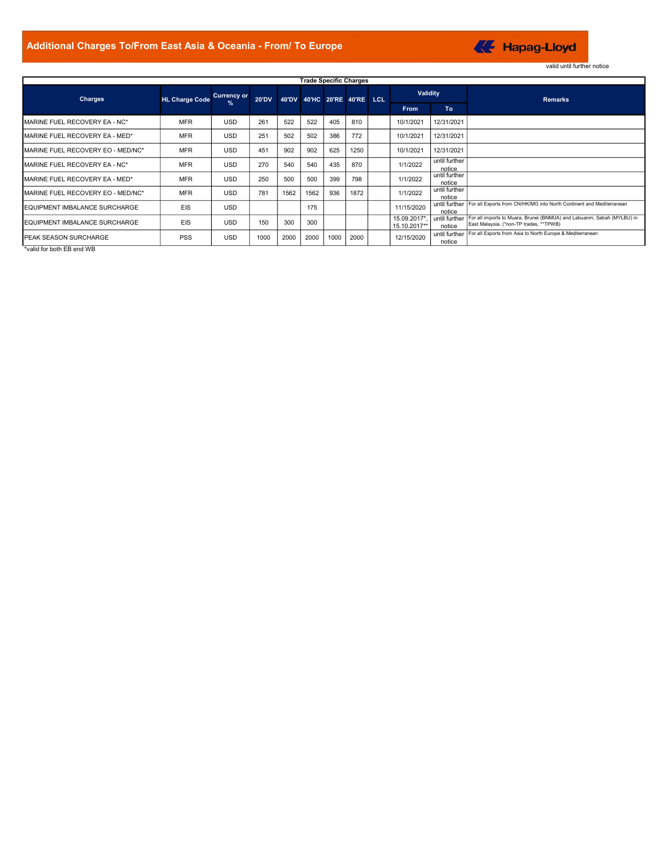

| Additional Charges To/From East Asia & Oceania - From/ To Europe |                       |                          |              |             |             |      |                               |                                            |                         | <b>K</b> Hapag-Lloyd                                                                                               |
|------------------------------------------------------------------|-----------------------|--------------------------|--------------|-------------|-------------|------|-------------------------------|--------------------------------------------|-------------------------|--------------------------------------------------------------------------------------------------------------------|
|                                                                  |                       |                          |              |             |             |      |                               |                                            |                         | valid until further notice                                                                                         |
|                                                                  |                       |                          |              |             |             |      | <b>Trade Specific Charges</b> |                                            |                         |                                                                                                                    |
| Charges                                                          | <b>HL Charge Code</b> | <b>Currency or</b>       | <b>20'DV</b> |             |             |      | 40'DV 40'HC 20'RE 40'RE LCL   | <b>Validity</b>                            |                         | <b>Remarks</b>                                                                                                     |
|                                                                  |                       | %                        |              |             |             |      |                               | From                                       | <b>To</b>               |                                                                                                                    |
| MARINE FUEL RECOVERY EA - NC*                                    | <b>MFR</b>            | <b>USD</b>               | 261          | 522         | 522         | 405  | 810                           | 10/1/2021                                  | 12/31/2021              |                                                                                                                    |
| MARINE FUEL RECOVERY EA - MED*                                   | <b>MFR</b>            | <b>USD</b>               | 251          | 502         | 502         | 386  | 772                           | 10/1/2021                                  | 12/31/2021              |                                                                                                                    |
| MARINE FUEL RECOVERY EO - MED/NC*                                | <b>MFR</b>            | <b>USD</b>               | 451          | 902         | 902         | 625  | 1250                          | 10/1/2021                                  | 12/31/2021              |                                                                                                                    |
| MARINE FUEL RECOVERY EA - NC*                                    | <b>MFR</b>            | <b>USD</b>               | 270          | 540         | 540         | 435  | 870                           | 1/1/2022                                   | until further<br>notice |                                                                                                                    |
| MARINE FUEL RECOVERY EA - MED*                                   | <b>MFR</b>            | <b>USD</b>               | 250          | 500         | 500         | 399  | 798                           | 1/1/2022                                   | until further<br>notice |                                                                                                                    |
| MARINE FUEL RECOVERY EO - MED/NC*                                | <b>MFR</b>            | <b>USD</b>               | 781          | 1562        | 1562        | 936  | 1872                          | 1/1/2022                                   | until further<br>notice | until further For all Exports from CN/HK/MO into North Continent and Mediterranean                                 |
| EQUIPMENT IMBALANCE SURCHARGE                                    | EIS                   | <b>USD</b>               |              |             | 175         |      |                               | 11/15/2020                                 | notice<br>until further | For all imports to Muara, Brunei (BNMUA) and Labuanm, Sabah (MYLBU) in                                             |
| EQUIPMENT IMBALANCE SURCHARGE<br>PEAK SEASON SURCHARGE           | EIS<br><b>PSS</b>     | <b>USD</b><br><b>USD</b> | 150<br>1000  | 300<br>2000 | 300<br>2000 | 1000 | 2000                          | 15.09.2017*,<br>15.10.2017**<br>12/15/2020 | notice                  | East Malaysia. (*non-TP trades, **TPWB)<br>until further For all Exports from Asia to North Europe & Mediterranean |

\*valid for both EB end WB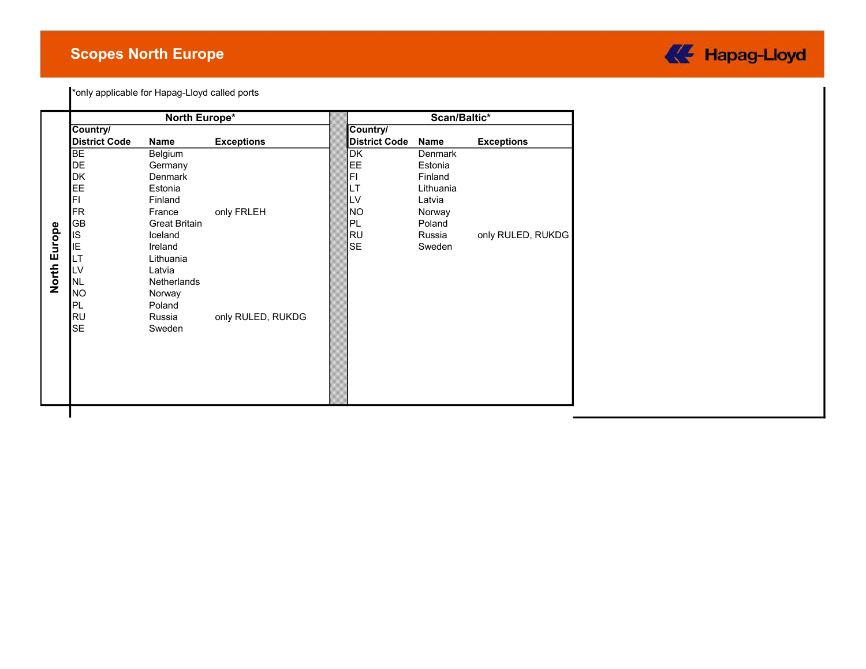## Scopes North Europe



|              |                      | North Europe*        |                   |                      | Scan/Baltic* |                   |
|--------------|----------------------|----------------------|-------------------|----------------------|--------------|-------------------|
|              | Country/             |                      |                   | Country/             |              |                   |
|              | <b>District Code</b> | Name                 | <b>Exceptions</b> | <b>District Code</b> | Name         | <b>Exceptions</b> |
|              | <b>BE</b>            | Belgium              |                   | DK                   | Denmark      |                   |
|              | <b>DE</b>            | Germany              |                   | EE.                  | Estonia      |                   |
|              | DK                   | Denmark              |                   | FI                   | Finland      |                   |
|              | EE                   | Estonia              |                   | LT                   | Lithuania    |                   |
|              | FL                   | Finland              |                   | LV                   | Latvia       |                   |
|              | <b>FR</b>            | France               | only FRLEH        | <b>NO</b>            | Norway       |                   |
|              | <b>GB</b>            | <b>Great Britain</b> |                   | PL                   | Poland       |                   |
| North Europe | <b>IS</b>            | Iceland              |                   | <b>RU</b>            | Russia       | only RULED, RUKDG |
|              | IE                   | Ireland              |                   | <b>SE</b>            | Sweden       |                   |
|              | LТ                   | Lithuania            |                   |                      |              |                   |
|              | LV                   | Latvia               |                   |                      |              |                   |
|              | NL                   | Netherlands          |                   |                      |              |                   |
|              | <b>NO</b>            | Norway               |                   |                      |              |                   |
|              | PL                   | Poland               |                   |                      |              |                   |
|              | RU<br><b>SE</b>      | Russia               | only RULED, RUKDG |                      |              |                   |
|              |                      | Sweden               |                   |                      |              |                   |
|              |                      |                      |                   |                      |              |                   |
|              |                      |                      |                   |                      |              |                   |
|              |                      |                      |                   |                      |              |                   |
|              |                      |                      |                   |                      |              |                   |
|              |                      |                      |                   |                      |              |                   |
|              |                      |                      |                   |                      |              |                   |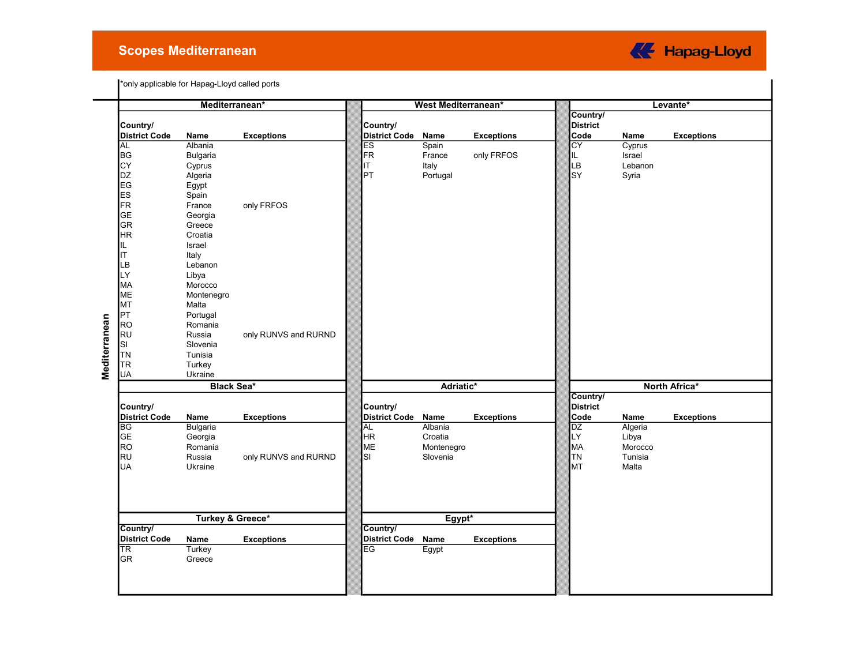### Scopes Mediterranean



|               |                      | Mediterranean*              |                      |                      | <b>West Mediterranean*</b> |                   |                  |         | Levante*          |
|---------------|----------------------|-----------------------------|----------------------|----------------------|----------------------------|-------------------|------------------|---------|-------------------|
|               |                      |                             |                      |                      |                            |                   | Country/         |         |                   |
|               | Country/             |                             |                      | Country/             |                            |                   | <b>District</b>  |         |                   |
|               | <b>District Code</b> | Name                        | <b>Exceptions</b>    | <b>District Code</b> | Name                       | <b>Exceptions</b> | Code             | Name    | <b>Exceptions</b> |
|               | <b>AL</b>            | Albania                     |                      | $\overline{ES}$      | Spain                      |                   | $\overline{c}$ Y | Cyprus  |                   |
|               | <b>BG</b>            | <b>Bulgaria</b>             |                      | FR                   | France                     | only FRFOS        | IL               | Israel  |                   |
|               | CY                   | Cyprus                      |                      | ΙT                   | Italy                      |                   | LB               | Lebanon |                   |
|               | <b>DZ</b>            | Algeria                     |                      | PT                   | Portugal                   |                   | SY               | Syria   |                   |
|               | EG                   | Egypt                       |                      |                      |                            |                   |                  |         |                   |
|               | <b>ES</b>            | Spain                       |                      |                      |                            |                   |                  |         |                   |
|               | FR                   | France                      | only FRFOS           |                      |                            |                   |                  |         |                   |
|               | <b>GE</b>            | Georgia                     |                      |                      |                            |                   |                  |         |                   |
|               | <b>GR</b>            | Greece                      |                      |                      |                            |                   |                  |         |                   |
|               | <b>HR</b>            | Croatia                     |                      |                      |                            |                   |                  |         |                   |
|               | IL                   | Israel                      |                      |                      |                            |                   |                  |         |                   |
|               | IT                   | Italy                       |                      |                      |                            |                   |                  |         |                   |
|               | LВ                   | Lebanon                     |                      |                      |                            |                   |                  |         |                   |
|               | LY                   | Libya                       |                      |                      |                            |                   |                  |         |                   |
|               | MA                   | Morocco                     |                      |                      |                            |                   |                  |         |                   |
|               | <b>ME</b>            | Montenegro                  |                      |                      |                            |                   |                  |         |                   |
|               | <b>MT</b>            | Malta                       |                      |                      |                            |                   |                  |         |                   |
|               | PT                   | Portugal                    |                      |                      |                            |                   |                  |         |                   |
|               | <b>RO</b>            | Romania                     |                      |                      |                            |                   |                  |         |                   |
|               | RU                   | Russia                      | only RUNVS and RURND |                      |                            |                   |                  |         |                   |
|               | SI<br><b>TN</b>      | Slovenia<br>Tunisia         |                      |                      |                            |                   |                  |         |                   |
|               | <b>TR</b>            |                             |                      |                      |                            |                   |                  |         |                   |
| Mediterranean | UA                   | Turkey<br>Ukraine           |                      |                      |                            |                   |                  |         |                   |
|               |                      | <b>Black Sea*</b>           |                      |                      | Adriatic*                  |                   |                  |         | North Africa*     |
|               |                      |                             |                      |                      |                            |                   | Country/         |         |                   |
|               | Country/             |                             |                      | Country/             |                            |                   | <b>District</b>  |         |                   |
|               | <b>District Code</b> | Name                        | <b>Exceptions</b>    | <b>District Code</b> | Name                       | <b>Exceptions</b> | Code             | Name    | <b>Exceptions</b> |
|               | BG                   | <b>Bulgaria</b>             |                      | <b>AL</b>            | Albania                    |                   | DZ               | Algeria |                   |
|               | <b>GE</b>            | Georgia                     |                      | <b>HR</b>            | Croatia                    |                   | LY               | Libya   |                   |
|               | <b>RO</b>            | Romania                     |                      | <b>ME</b>            | Montenegro                 |                   | MA               | Morocco |                   |
|               | <b>RU</b>            | Russia                      | only RUNVS and RURND | SI                   | Slovenia                   |                   | TN               | Tunisia |                   |
|               | <b>UA</b>            | Ukraine                     |                      |                      |                            |                   | МT               | Malta   |                   |
|               |                      |                             |                      |                      |                            |                   |                  |         |                   |
|               |                      |                             |                      |                      |                            |                   |                  |         |                   |
|               |                      |                             |                      |                      |                            |                   |                  |         |                   |
|               |                      |                             |                      |                      |                            |                   |                  |         |                   |
|               |                      | <b>Turkey &amp; Greece*</b> |                      |                      | Egypt*                     |                   |                  |         |                   |
|               | Country/             |                             |                      | Country/             |                            |                   |                  |         |                   |
|               | <b>District Code</b> | Name                        | <b>Exceptions</b>    | <b>District Code</b> | Name                       | <b>Exceptions</b> |                  |         |                   |
|               | <b>TR</b>            | Turkey                      |                      | EG                   | Egypt                      |                   |                  |         |                   |
|               | <b>GR</b>            | Greece                      |                      |                      |                            |                   |                  |         |                   |
|               |                      |                             |                      |                      |                            |                   |                  |         |                   |
|               |                      |                             |                      |                      |                            |                   |                  |         |                   |
|               |                      |                             |                      |                      |                            |                   |                  |         |                   |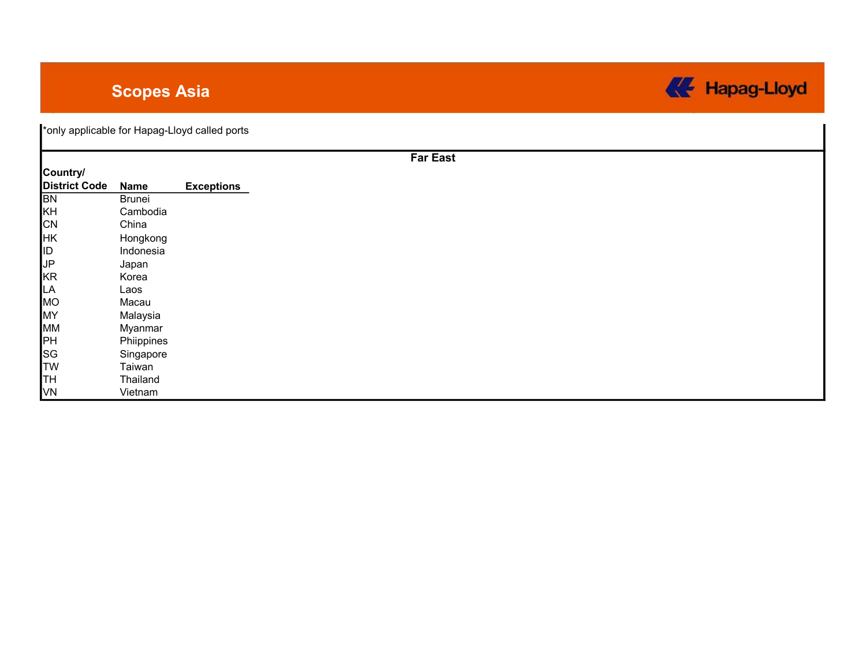# Scopes Asia



| Country/             |               |                   |
|----------------------|---------------|-------------------|
| <b>District Code</b> | <b>Name</b>   | <b>Exceptions</b> |
| <b>BN</b>            | <b>Brunei</b> |                   |
| KH                   | Cambodia      |                   |
| <b>CN</b>            | China         |                   |
| <b>HK</b>            | Hongkong      |                   |
| <b>ID</b>            | Indonesia     |                   |
| JP                   | Japan         |                   |
| KR                   | Korea         |                   |
| LA                   | Laos          |                   |
| MO                   | Macau         |                   |
| MY                   | Malaysia      |                   |
| MM                   | Myanmar       |                   |
| <b>PH</b>            | Phiippines    |                   |
| SG                   | Singapore     |                   |
| <b>TW</b>            | Taiwan        |                   |
| ļтн                  | Thailand      |                   |
| V <sub>N</sub>       | Vietnam       |                   |